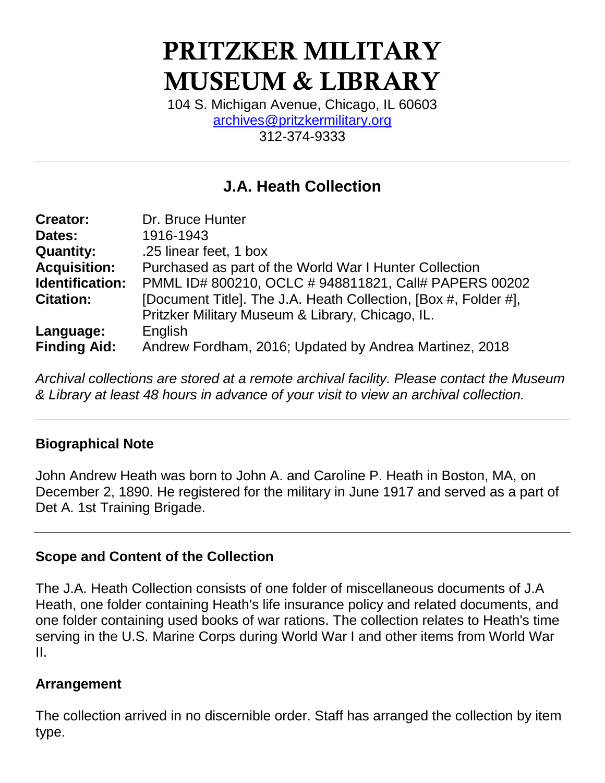# **PRITZKER MILITARY MUSEUM & LIBRARY**

104 S. Michigan Avenue, Chicago, IL 60603 [archives@pritzkermilitary.org](mailto:archives@pritzkermilitary.org) 312-374-9333

## **J.A. Heath Collection**

| <b>Creator:</b>     | Dr. Bruce Hunter                                                |
|---------------------|-----------------------------------------------------------------|
| Dates:              | 1916-1943                                                       |
| <b>Quantity:</b>    | .25 linear feet, 1 box                                          |
| <b>Acquisition:</b> | Purchased as part of the World War I Hunter Collection          |
| Identification:     | PMML ID# 800210, OCLC # 948811821, Call# PAPERS 00202           |
| <b>Citation:</b>    | [Document Title]. The J.A. Heath Collection, [Box #, Folder #], |
|                     | Pritzker Military Museum & Library, Chicago, IL.                |
| Language:           | English                                                         |
| <b>Finding Aid:</b> | Andrew Fordham, 2016; Updated by Andrea Martinez, 2018          |

*Archival collections are stored at a remote archival facility. Please contact the Museum & Library at least 48 hours in advance of your visit to view an archival collection.*

## **Biographical Note**

John Andrew Heath was born to John A. and Caroline P. Heath in Boston, MA, on December 2, 1890. He registered for the military in June 1917 and served as a part of Det A. 1st Training Brigade.

#### **Scope and Content of the Collection**

The J.A. Heath Collection consists of one folder of miscellaneous documents of J.A Heath, one folder containing Heath's life insurance policy and related documents, and one folder containing used books of war rations. The collection relates to Heath's time serving in the U.S. Marine Corps during World War I and other items from World War II.

## **Arrangement**

The collection arrived in no discernible order. Staff has arranged the collection by item type.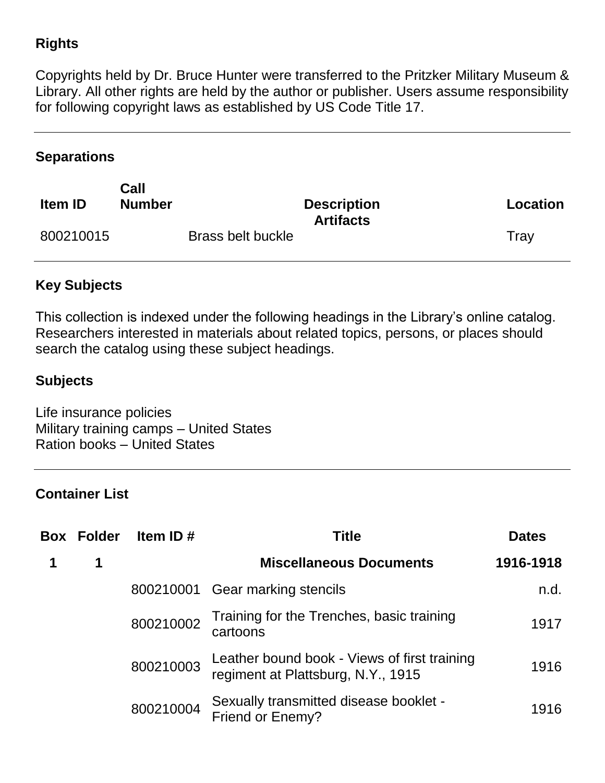## **Rights**

Copyrights held by Dr. Bruce Hunter were transferred to the Pritzker Military Museum & Library. All other rights are held by the author or publisher. Users assume responsibility for following copyright laws as established by US Code Title 17.

#### **Separations**

| <b>Item ID</b> | Call<br><b>Number</b> |                          | <b>Description</b><br><b>Artifacts</b> | Location |
|----------------|-----------------------|--------------------------|----------------------------------------|----------|
| 800210015      |                       | <b>Brass belt buckle</b> |                                        | Tray     |

## **Key Subjects**

This collection is indexed under the following headings in the Library's online catalog. Researchers interested in materials about related topics, persons, or places should search the catalog using these subject headings.

#### **Subjects**

Life insurance policies Military training camps – United States Ration books – United States

#### **Container List**

| <b>Box Folder</b> | Item ID $#$ | Title                                                                              | <b>Dates</b> |
|-------------------|-------------|------------------------------------------------------------------------------------|--------------|
| 1                 |             | <b>Miscellaneous Documents</b>                                                     | 1916-1918    |
|                   |             | 800210001 Gear marking stencils                                                    | n.d.         |
|                   | 800210002   | Training for the Trenches, basic training<br>cartoons                              | 1917         |
|                   | 800210003   | Leather bound book - Views of first training<br>regiment at Plattsburg, N.Y., 1915 | 1916         |
|                   | 800210004   | Sexually transmitted disease booklet -<br><b>Friend or Enemy?</b>                  | 1916         |